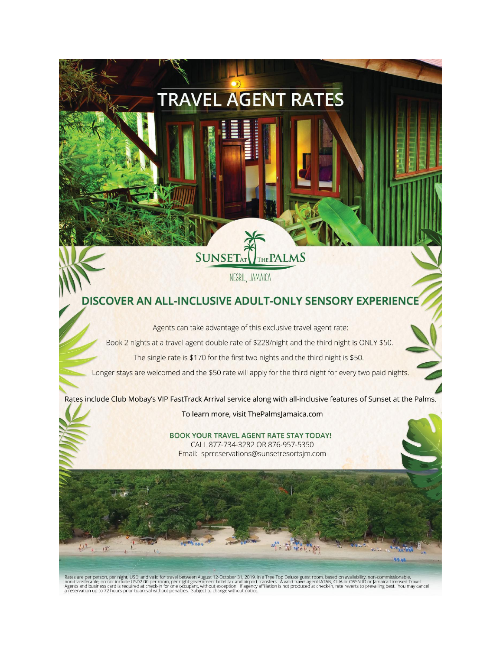#### **SUNSETAT THE PALMS**

**TRAVEL AGENT RATES** 

NEGRIL, JAMAICA

#### DISCOVER AN ALL-INCLUSIVE ADULT-ONLY SENSORY EXPERIENCE

Agents can take advantage of this exclusive travel agent rate:

Book 2 nights at a travel agent double rate of \$228/night and the third night is ONLY \$50.

The single rate is \$170 for the first two nights and the third night is \$50.

Longer stays are welcomed and the \$50 rate will apply for the third night for every two paid nights.

Rates include Club Mobay's VIP FastTrack Arrival service along with all-inclusive features of Sunset at the Palms.

To learn more, visit ThePalmsJamaica.com

**BOOK YOUR TRAVEL AGENT RATE STAY TODAY!** CALL 877-734-3282 OR 876-957-5350 Email: sprreservations@sunsetresortsjm.com

Rates are per person, per night, USD, and valid for travel between August 12-October 31, 2019, in a Tree Top Deluxe guest room, based on availability, non-commissionable,<br>non-transferable, do not include USD2.00 per room,

112

 $x = 18$